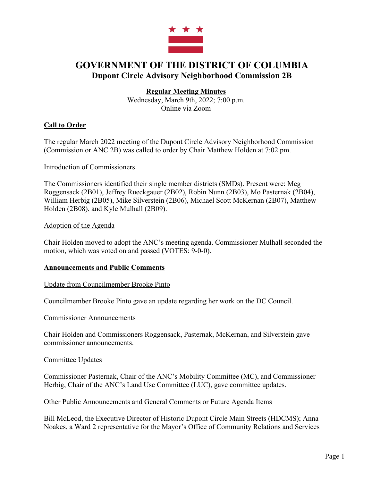

# **GOVERNMENT OF THE DISTRICT OF COLUMBIA Dupont Circle Advisory Neighborhood Commission 2B**

# **Regular Meeting Minutes**

Wednesday, March 9th, 2022; 7:00 p.m. Online via Zoom

# **Call to Order**

The regular March 2022 meeting of the Dupont Circle Advisory Neighborhood Commission (Commission or ANC 2B) was called to order by Chair Matthew Holden at 7:02 pm.

### Introduction of Commissioners

The Commissioners identified their single member districts (SMDs). Present were: Meg Roggensack (2B01), Jeffrey Rueckgauer (2B02), Robin Nunn (2B03), Mo Pasternak (2B04), William Herbig (2B05), Mike Silverstein (2B06), Michael Scott McKernan (2B07), Matthew Holden (2B08), and Kyle Mulhall (2B09).

### Adoption of the Agenda

Chair Holden moved to adopt the ANC's meeting agenda. Commissioner Mulhall seconded the motion, which was voted on and passed (VOTES: 9-0-0).

# **Announcements and Public Comments**

### Update from Councilmember Brooke Pinto

Councilmember Brooke Pinto gave an update regarding her work on the DC Council.

### Commissioner Announcements

Chair Holden and Commissioners Roggensack, Pasternak, McKernan, and Silverstein gave commissioner announcements.

### Committee Updates

Commissioner Pasternak, Chair of the ANC's Mobility Committee (MC), and Commissioner Herbig, Chair of the ANC's Land Use Committee (LUC), gave committee updates.

### Other Public Announcements and General Comments or Future Agenda Items

Bill McLeod, the Executive Director of Historic Dupont Circle Main Streets (HDCMS); Anna Noakes, a Ward 2 representative for the Mayor's Office of Community Relations and Services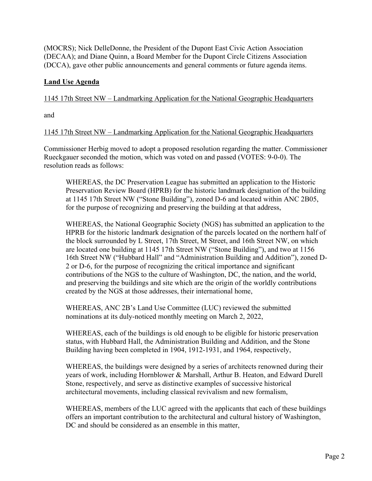(MOCRS); Nick DelleDonne, the President of the Dupont East Civic Action Association (DECAA); and Diane Quinn, a Board Member for the Dupont Circle Citizens Association (DCCA), gave other public announcements and general comments or future agenda items.

# **Land Use Agenda**

1145 17th Street NW – Landmarking Application for the National Geographic Headquarters

and

1145 17th Street NW – Landmarking Application for the National Geographic Headquarters

Commissioner Herbig moved to adopt a proposed resolution regarding the matter. Commissioner Rueckgauer seconded the motion, which was voted on and passed (VOTES: 9-0-0). The resolution reads as follows:

WHEREAS, the DC Preservation League has submitted an application to the Historic Preservation Review Board (HPRB) for the historic landmark designation of the building at 1145 17th Street NW ("Stone Building"), zoned D-6 and located within ANC 2B05, for the purpose of recognizing and preserving the building at that address,

WHEREAS, the National Geographic Society (NGS) has submitted an application to the HPRB for the historic landmark designation of the parcels located on the northern half of the block surrounded by L Street, 17th Street, M Street, and 16th Street NW, on which are located one building at 1145 17th Street NW ("Stone Building"), and two at 1156 16th Street NW ("Hubbard Hall" and "Administration Building and Addition"), zoned D-2 or D-6, for the purpose of recognizing the critical importance and significant contributions of the NGS to the culture of Washington, DC, the nation, and the world, and preserving the buildings and site which are the origin of the worldly contributions created by the NGS at those addresses, their international home,

WHEREAS, ANC 2B's Land Use Committee (LUC) reviewed the submitted nominations at its duly-noticed monthly meeting on March 2, 2022,

WHEREAS, each of the buildings is old enough to be eligible for historic preservation status, with Hubbard Hall, the Administration Building and Addition, and the Stone Building having been completed in 1904, 1912-1931, and 1964, respectively,

WHEREAS, the buildings were designed by a series of architects renowned during their years of work, including Hornblower & Marshall, Arthur B. Heaton, and Edward Durell Stone, respectively, and serve as distinctive examples of successive historical architectural movements, including classical revivalism and new formalism,

WHEREAS, members of the LUC agreed with the applicants that each of these buildings offers an important contribution to the architectural and cultural history of Washington, DC and should be considered as an ensemble in this matter,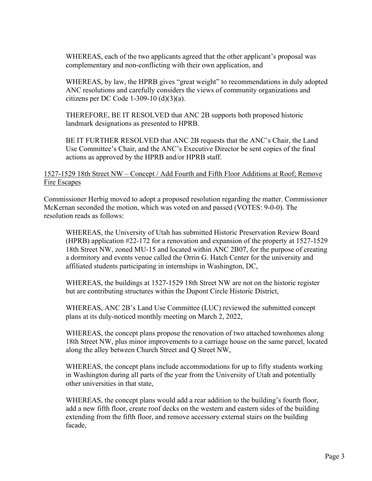WHEREAS, each of the two applicants agreed that the other applicant's proposal was complementary and non-conflicting with their own application, and

WHEREAS, by law, the HPRB gives "great weight" to recommendations in duly adopted ANC resolutions and carefully considers the views of community organizations and citizens per DC Code 1-309-10  $(d)(3)(a)$ .

THEREFORE, BE IT RESOLVED that ANC 2B supports both proposed historic landmark designations as presented to HPRB.

BE IT FURTHER RESOLVED that ANC 2B requests that the ANC's Chair, the Land Use Committee's Chair, and the ANC's Executive Director be sent copies of the final actions as approved by the HPRB and/or HPRB staff.

# 1527-1529 18th Street NW – Concept / Add Fourth and Fifth Floor Additions at Roof; Remove Fire Escapes

Commissioner Herbig moved to adopt a proposed resolution regarding the matter. Commissioner McKernan seconded the motion, which was voted on and passed (VOTES: 9-0-0). The resolution reads as follows:

WHEREAS, the University of Utah has submitted Historic Preservation Review Board (HPRB) application #22-172 for a renovation and expansion of the property at 1527-1529 18th Street NW, zoned MU-15 and located within ANC 2B07, for the purpose of creating a dormitory and events venue called the Orrin G. Hatch Center for the university and affiliated students participating in internships in Washington, DC,

WHEREAS, the buildings at 1527-1529 18th Street NW are not on the historic register but are contributing structures within the Dupont Circle Historic District,

WHEREAS, ANC 2B's Land Use Committee (LUC) reviewed the submitted concept plans at its duly-noticed monthly meeting on March 2, 2022,

WHEREAS, the concept plans propose the renovation of two attached townhomes along 18th Street NW, plus minor improvements to a carriage house on the same parcel, located along the alley between Church Street and Q Street NW,

WHEREAS, the concept plans include accommodations for up to fifty students working in Washington during all parts of the year from the University of Utah and potentially other universities in that state,

WHEREAS, the concept plans would add a rear addition to the building's fourth floor, add a new fifth floor, create roof decks on the western and eastern sides of the building extending from the fifth floor, and remove accessory external stairs on the building facade,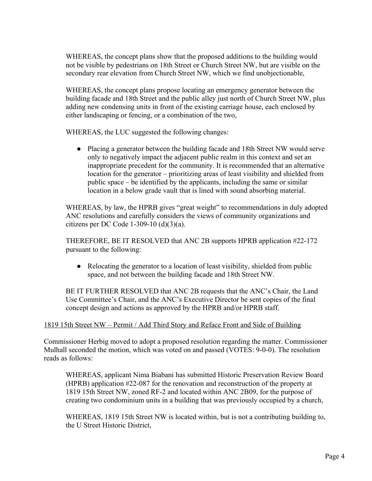WHEREAS, the concept plans show that the proposed additions to the building would not be visible by pedestrians on 18th Street or Church Street NW, but are visible on the secondary rear elevation from Church Street NW, which we find unobjectionable,

WHEREAS, the concept plans propose locating an emergency generator between the building facade and 18th Street and the public alley just north of Church Street NW, plus adding new condensing units in front of the existing carriage house, each enclosed by either landscaping or fencing, or a combination of the two,

WHEREAS, the LUC suggested the following changes:

• Placing a generator between the building facade and 18th Street NW would serve only to negatively impact the adjacent public realm in this context and set an inappropriate precedent for the community. It is recommended that an alternative location for the generator – prioritizing areas of least visibility and shielded from public space – be identified by the applicants, including the same or similar location in a below grade vault that is lined with sound absorbing material.

WHEREAS, by law, the HPRB gives "great weight" to recommendations in duly adopted ANC resolutions and carefully considers the views of community organizations and citizens per DC Code 1-309-10  $(d)(3)(a)$ .

THEREFORE, BE IT RESOLVED that ANC 2B supports HPRB application #22-172 pursuant to the following:

• Relocating the generator to a location of least visibility, shielded from public space, and not between the building facade and 18th Street NW.

BE IT FURTHER RESOLVED that ANC 2B requests that the ANC's Chair, the Land Use Committee's Chair, and the ANC's Executive Director be sent copies of the final concept design and actions as approved by the HPRB and/or HPRB staff.

# 1819 15th Street NW – Permit / Add Third Story and Reface Front and Side of Building

Commissioner Herbig moved to adopt a proposed resolution regarding the matter. Commissioner Mulhall seconded the motion, which was voted on and passed (VOTES: 9-0-0). The resolution reads as follows:

WHEREAS, applicant Nima Biabani has submitted Historic Preservation Review Board (HPRB) application #22-087 for the renovation and reconstruction of the property at 1819 15th Street NW, zoned RF-2 and located within ANC 2B09, for the purpose of creating two condominium units in a building that was previously occupied by a church,

WHEREAS, 1819 15th Street NW is located within, but is not a contributing building to, the U Street Historic District,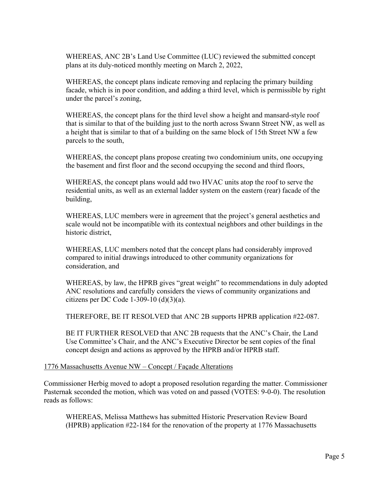WHEREAS, ANC 2B's Land Use Committee (LUC) reviewed the submitted concept plans at its duly-noticed monthly meeting on March 2, 2022,

WHEREAS, the concept plans indicate removing and replacing the primary building facade, which is in poor condition, and adding a third level, which is permissible by right under the parcel's zoning,

WHEREAS, the concept plans for the third level show a height and mansard-style roof that is similar to that of the building just to the north across Swann Street NW, as well as a height that is similar to that of a building on the same block of 15th Street NW a few parcels to the south,

WHEREAS, the concept plans propose creating two condominium units, one occupying the basement and first floor and the second occupying the second and third floors,

WHEREAS, the concept plans would add two HVAC units atop the roof to serve the residential units, as well as an external ladder system on the eastern (rear) facade of the building,

WHEREAS, LUC members were in agreement that the project's general aesthetics and scale would not be incompatible with its contextual neighbors and other buildings in the historic district,

WHEREAS, LUC members noted that the concept plans had considerably improved compared to initial drawings introduced to other community organizations for consideration, and

WHEREAS, by law, the HPRB gives "great weight" to recommendations in duly adopted ANC resolutions and carefully considers the views of community organizations and citizens per DC Code 1-309-10  $(d)(3)(a)$ .

THEREFORE, BE IT RESOLVED that ANC 2B supports HPRB application #22-087.

BE IT FURTHER RESOLVED that ANC 2B requests that the ANC's Chair, the Land Use Committee's Chair, and the ANC's Executive Director be sent copies of the final concept design and actions as approved by the HPRB and/or HPRB staff.

### 1776 Massachusetts Avenue NW – Concept / Façade Alterations

Commissioner Herbig moved to adopt a proposed resolution regarding the matter. Commissioner Pasternak seconded the motion, which was voted on and passed (VOTES: 9-0-0). The resolution reads as follows:

WHEREAS, Melissa Matthews has submitted Historic Preservation Review Board (HPRB) application #22-184 for the renovation of the property at 1776 Massachusetts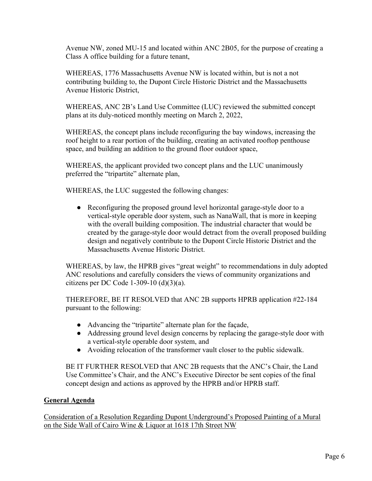Avenue NW, zoned MU-15 and located within ANC 2B05, for the purpose of creating a Class A office building for a future tenant,

WHEREAS, 1776 Massachusetts Avenue NW is located within, but is not a not contributing building to, the Dupont Circle Historic District and the Massachusetts Avenue Historic District,

WHEREAS, ANC 2B's Land Use Committee (LUC) reviewed the submitted concept plans at its duly-noticed monthly meeting on March 2, 2022,

WHEREAS, the concept plans include reconfiguring the bay windows, increasing the roof height to a rear portion of the building, creating an activated rooftop penthouse space, and building an addition to the ground floor outdoor space,

WHEREAS, the applicant provided two concept plans and the LUC unanimously preferred the "tripartite" alternate plan,

WHEREAS, the LUC suggested the following changes:

● Reconfiguring the proposed ground level horizontal garage-style door to a vertical-style operable door system, such as NanaWall, that is more in keeping with the overall building composition. The industrial character that would be created by the garage-style door would detract from the overall proposed building design and negatively contribute to the Dupont Circle Historic District and the Massachusetts Avenue Historic District.

WHEREAS, by law, the HPRB gives "great weight" to recommendations in duly adopted ANC resolutions and carefully considers the views of community organizations and citizens per DC Code 1-309-10  $(d)(3)(a)$ .

THEREFORE, BE IT RESOLVED that ANC 2B supports HPRB application #22-184 pursuant to the following:

- Advancing the "tripartite" alternate plan for the façade,
- Addressing ground level design concerns by replacing the garage-style door with a vertical-style operable door system, and
- Avoiding relocation of the transformer vault closer to the public sidewalk.

BE IT FURTHER RESOLVED that ANC 2B requests that the ANC's Chair, the Land Use Committee's Chair, and the ANC's Executive Director be sent copies of the final concept design and actions as approved by the HPRB and/or HPRB staff.

# **General Agenda**

Consideration of a Resolution Regarding Dupont Underground's Proposed Painting of a Mural on the Side Wall of Cairo Wine & Liquor at 1618 17th Street NW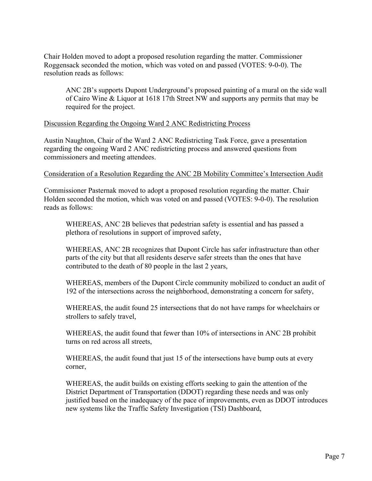Chair Holden moved to adopt a proposed resolution regarding the matter. Commissioner Roggensack seconded the motion, which was voted on and passed (VOTES: 9-0-0). The resolution reads as follows:

ANC 2B's supports Dupont Underground's proposed painting of a mural on the side wall of Cairo Wine & Liquor at 1618 17th Street NW and supports any permits that may be required for the project.

### Discussion Regarding the Ongoing Ward 2 ANC Redistricting Process

Austin Naughton, Chair of the Ward 2 ANC Redistricting Task Force, gave a presentation regarding the ongoing Ward 2 ANC redistricting process and answered questions from commissioners and meeting attendees.

### Consideration of a Resolution Regarding the ANC 2B Mobility Committee's Intersection Audit

Commissioner Pasternak moved to adopt a proposed resolution regarding the matter. Chair Holden seconded the motion, which was voted on and passed (VOTES: 9-0-0). The resolution reads as follows:

WHEREAS, ANC 2B believes that pedestrian safety is essential and has passed a plethora of resolutions in support of improved safety,

WHEREAS, ANC 2B recognizes that Dupont Circle has safer infrastructure than other parts of the city but that all residents deserve safer streets than the ones that have contributed to the death of 80 people in the last 2 years,

WHEREAS, members of the Dupont Circle community mobilized to conduct an audit of 192 of the intersections across the neighborhood, demonstrating a concern for safety,

WHEREAS, the audit found 25 intersections that do not have ramps for wheelchairs or strollers to safely travel,

WHEREAS, the audit found that fewer than 10% of intersections in ANC 2B prohibit turns on red across all streets,

WHEREAS, the audit found that just 15 of the intersections have bump outs at every corner,

WHEREAS, the audit builds on existing efforts seeking to gain the attention of the District Department of Transportation (DDOT) regarding these needs and was only justified based on the inadequacy of the pace of improvements, even as DDOT introduces new systems like the Traffic Safety Investigation (TSI) Dashboard,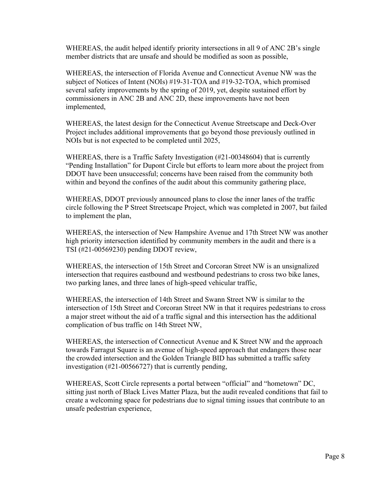WHEREAS, the audit helped identify priority intersections in all 9 of ANC 2B's single member districts that are unsafe and should be modified as soon as possible,

WHEREAS, the intersection of Florida Avenue and Connecticut Avenue NW was the subject of Notices of Intent (NOIs) #19-31-TOA and #19-32-TOA, which promised several safety improvements by the spring of 2019, yet, despite sustained effort by commissioners in ANC 2B and ANC 2D, these improvements have not been implemented,

WHEREAS, the latest design for the Connecticut Avenue Streetscape and Deck-Over Project includes additional improvements that go beyond those previously outlined in NOIs but is not expected to be completed until 2025,

WHEREAS, there is a Traffic Safety Investigation (#21-00348604) that is currently "Pending Installation" for Dupont Circle but efforts to learn more about the project from DDOT have been unsuccessful; concerns have been raised from the community both within and beyond the confines of the audit about this community gathering place,

WHEREAS, DDOT previously announced plans to close the inner lanes of the traffic circle following the P Street Streetscape Project, which was completed in 2007, but failed to implement the plan,

WHEREAS, the intersection of New Hampshire Avenue and 17th Street NW was another high priority intersection identified by community members in the audit and there is a TSI (#21-00569230) pending DDOT review,

WHEREAS, the intersection of 15th Street and Corcoran Street NW is an unsignalized intersection that requires eastbound and westbound pedestrians to cross two bike lanes, two parking lanes, and three lanes of high-speed vehicular traffic,

WHEREAS, the intersection of 14th Street and Swann Street NW is similar to the intersection of 15th Street and Corcoran Street NW in that it requires pedestrians to cross a major street without the aid of a traffic signal and this intersection has the additional complication of bus traffic on 14th Street NW,

WHEREAS, the intersection of Connecticut Avenue and K Street NW and the approach towards Farragut Square is an avenue of high-speed approach that endangers those near the crowded intersection and the Golden Triangle BID has submitted a traffic safety investigation (#21-00566727) that is currently pending,

WHEREAS, Scott Circle represents a portal between "official" and "hometown" DC, sitting just north of Black Lives Matter Plaza, but the audit revealed conditions that fail to create a welcoming space for pedestrians due to signal timing issues that contribute to an unsafe pedestrian experience,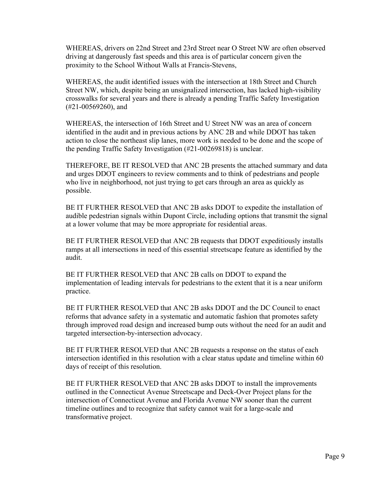WHEREAS, drivers on 22nd Street and 23rd Street near O Street NW are often observed driving at dangerously fast speeds and this area is of particular concern given the proximity to the School Without Walls at Francis-Stevens,

WHEREAS, the audit identified issues with the intersection at 18th Street and Church Street NW, which, despite being an unsignalized intersection, has lacked high-visibility crosswalks for several years and there is already a pending Traffic Safety Investigation (#21-00569260), and

WHEREAS, the intersection of 16th Street and U Street NW was an area of concern identified in the audit and in previous actions by ANC 2B and while DDOT has taken action to close the northeast slip lanes, more work is needed to be done and the scope of the pending Traffic Safety Investigation (#21-00269818) is unclear.

THEREFORE, BE IT RESOLVED that ANC 2B presents the attached summary and data and urges DDOT engineers to review comments and to think of pedestrians and people who live in neighborhood, not just trying to get cars through an area as quickly as possible.

BE IT FURTHER RESOLVED that ANC 2B asks DDOT to expedite the installation of audible pedestrian signals within Dupont Circle, including options that transmit the signal at a lower volume that may be more appropriate for residential areas.

BE IT FURTHER RESOLVED that ANC 2B requests that DDOT expeditiously installs ramps at all intersections in need of this essential streetscape feature as identified by the audit.

BE IT FURTHER RESOLVED that ANC 2B calls on DDOT to expand the implementation of leading intervals for pedestrians to the extent that it is a near uniform practice.

BE IT FURTHER RESOLVED that ANC 2B asks DDOT and the DC Council to enact reforms that advance safety in a systematic and automatic fashion that promotes safety through improved road design and increased bump outs without the need for an audit and targeted intersection-by-intersection advocacy.

BE IT FURTHER RESOLVED that ANC 2B requests a response on the status of each intersection identified in this resolution with a clear status update and timeline within 60 days of receipt of this resolution.

BE IT FURTHER RESOLVED that ANC 2B asks DDOT to install the improvements outlined in the Connecticut Avenue Streetscape and Deck-Over Project plans for the intersection of Connecticut Avenue and Florida Avenue NW sooner than the current timeline outlines and to recognize that safety cannot wait for a large-scale and transformative project.